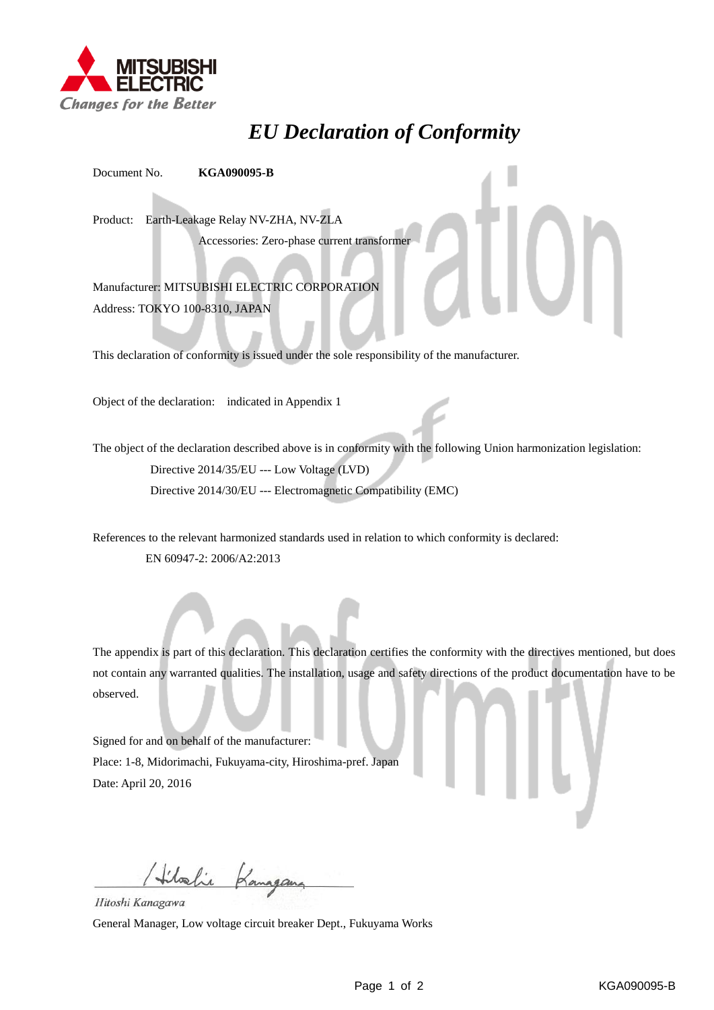

## *EU Declaration of Conformity*

Document No. **KGA090095-B**

Product: Earth-Leakage Relay NV-ZHA, NV-ZLA

Accessories: Zero-phase current transformer

Manufacturer: MITSUBISHI ELECTRIC CORPORATION Address: TOKYO 100-8310, JAPAN

This declaration of conformity is issued under the sole responsibility of the manufacturer.

Object of the declaration: indicated in Appendix 1

The object of the declaration described above is in conformity with the following Union harmonization legislation: Directive 2014/35/EU --- Low Voltage (LVD) Directive 2014/30/EU --- Electromagnetic Compatibility (EMC)

References to the relevant harmonized standards used in relation to which conformity is declared: EN 60947-2: 2006/A2:2013

The appendix is part of this declaration. This declaration certifies the conformity with the directives mentioned, but does not contain any warranted qualities. The installation, usage and safety directions of the product documentation have to be observed.

Signed for and on behalf of the manufacturer: Place: 1-8, Midorimachi, Fukuyama-city, Hiroshima-pref. Japan Date: April 20, 2016

Hilalie Kanagana

Hitoshi Kanagawa

General Manager, Low voltage circuit breaker Dept., Fukuyama Works